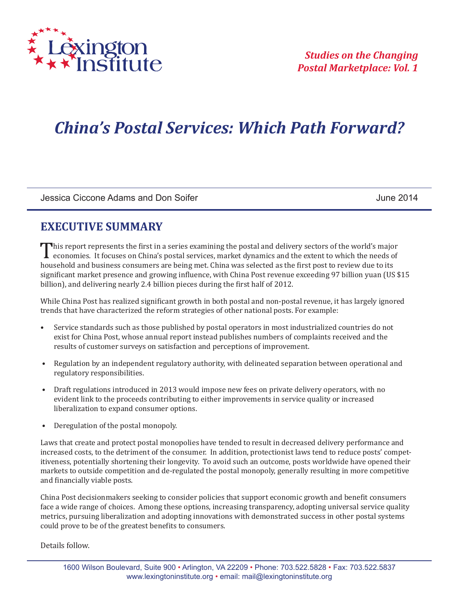

# *China's Postal Services: Which Path Forward?*

Jessica Ciccone Adams and Don Soifer June 2014

### **EXECUTIVE SUMMARY**

This report represents the first in a series examining the postal and delivery sectors of the world's major<br>economies. It focuses on China's postal services, market dynamics and the extent to which the needs of<br>household a economies. It focuses on China's postal services, market dynamics and the extent to which the needs of household and business consumers are being met. China was selected as the first post to review due to its significant market presence and growing influence, with China Post revenue exceeding 97 billion yuan (US \$15 billion), and delivering nearly 2.4 billion pieces during the first half of 2012.

While China Post has realized significant growth in both postal and non-postal revenue, it has largely ignored trends that have characterized the reform strategies of other national posts. For example:

- Service standards such as those published by postal operators in most industrialized countries do not exist for China Post, whose annual report instead publishes numbers of complaints received and the results of customer surveys on satisfaction and perceptions of improvement.
- Regulation by an independent regulatory authority, with delineated separation between operational and regulatory responsibilities.
- Draft regulations introduced in 2013 would impose new fees on private delivery operators, with no evident link to the proceeds contributing to either improvements in service quality or increased liberalization to expand consumer options.
- Deregulation of the postal monopoly.

Laws that create and protect postal monopolies have tended to result in decreased delivery performance and increased costs, to the detriment of the consumer. In addition, protectionist laws tend to reduce posts' competitiveness, potentially shortening their longevity. To avoid such an outcome, posts worldwide have opened their markets to outside competition and de-regulated the postal monopoly, generally resulting in more competitive and financially viable posts.

China Post decisionmakers seeking to consider policies that support economic growth and benefit consumers face a wide range of choices. Among these options, increasing transparency, adopting universal service quality metrics, pursuing liberalization and adopting innovations with demonstrated success in other postal systems could prove to be of the greatest benefits to consumers.

Details follow.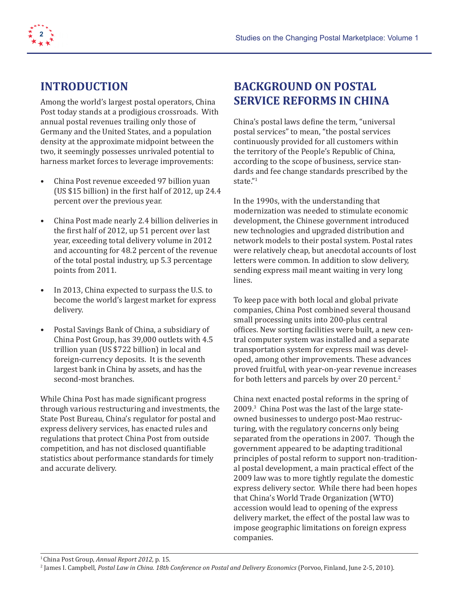



### **INTRODUCTION**

Among the world's largest postal operators, China Post today stands at a prodigious crossroads. With annual postal revenues trailing only those of Germany and the United States, and a population density at the approximate midpoint between the two, it seemingly possesses unrivaled potential to harness market forces to leverage improvements:

- China Post revenue exceeded 97 billion yuan (US \$15 billion) in the first half of 2012, up 24.4 percent over the previous year.
- China Post made nearly 2.4 billion deliveries in the first half of 2012, up 51 percent over last year, exceeding total delivery volume in 2012 and accounting for 48.2 percent of the revenue of the total postal industry, up 5.3 percentage points from 2011.
- In 2013, China expected to surpass the U.S. to become the world's largest market for express delivery.
- Postal Savings Bank of China, a subsidiary of China Post Group, has 39,000 outlets with 4.5 trillion yuan (US \$722 billion) in local and foreign-currency deposits. It is the seventh largest bank in China by assets, and has the second-most branches.

While China Post has made significant progress through various restructuring and investments, the State Post Bureau, China's regulator for postal and express delivery services, has enacted rules and regulations that protect China Post from outside competition, and has not disclosed quantifiable statistics about performance standards for timely and accurate delivery.

# **BACKGROUND ON POSTAL SERVICE REFORMS IN CHINA**

China's postal laws define the term, "universal postal services" to mean, "the postal services continuously provided for all customers within the territory of the People's Republic of China, according to the scope of business, service standards and fee change standards prescribed by the state."<sup>1</sup>

In the 1990s, with the understanding that modernization was needed to stimulate economic development, the Chinese government introduced new technologies and upgraded distribution and network models to their postal system. Postal rates were relatively cheap, but anecdotal accounts of lost letters were common. In addition to slow delivery, sending express mail meant waiting in very long lines.

To keep pace with both local and global private companies, China Post combined several thousand small processing units into 200-plus central offices. New sorting facilities were built, a new central computer system was installed and a separate transportation system for express mail was developed, among other improvements. These advances proved fruitful, with year-on-year revenue increases for both letters and parcels by over 20 percent.<sup>2</sup>

China next enacted postal reforms in the spring of 2009.3 China Post was the last of the large stateowned businesses to undergo post-Mao restructuring, with the regulatory concerns only being separated from the operations in 2007. Though the government appeared to be adapting traditional principles of postal reform to support non-traditional postal development, a main practical effect of the 2009 law was to more tightly regulate the domestic express delivery sector. While there had been hopes that China's World Trade Organization (WTO) accession would lead to opening of the express delivery market, the effect of the postal law was to impose geographic limitations on foreign express companies.

1 China Post Group, *Annual Report 2012,* p. 15.

<sup>&</sup>lt;sup>2</sup> James I. Campbell*, Postal Law in China. 18th Conference on Postal and Delivery Economics (Porvoo, Finland, June 2-5, 2010).*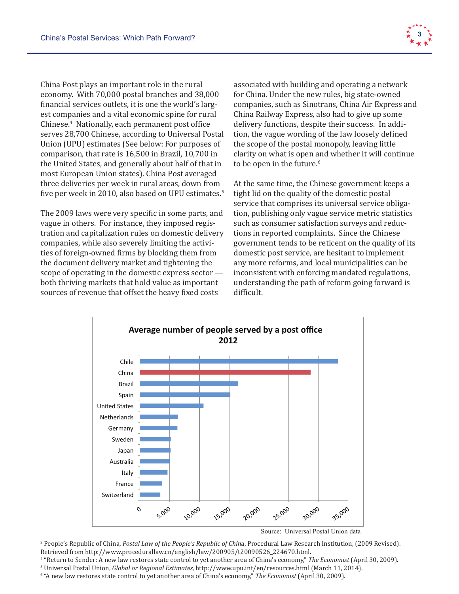

China Post plays an important role in the rural economy. With 70,000 postal branches and 38,000 financial services outlets, it is one the world's largest companies and a vital economic spine for rural Chinese.4 Nationally, each permanent post office serves 28,700 Chinese, according to Universal Postal Union (UPU) estimates (See below: For purposes of comparison, that rate is 16,500 in Brazil, 10,700 in the United States, and generally about half of that in most European Union states). China Post averaged three deliveries per week in rural areas, down from five per week in 2010, also based on UPU estimates. $^{\circ}$ 

The 2009 laws were very specific in some parts, and vague in others. For instance, they imposed registration and capitalization rules on domestic delivery tions in repo<br>companies while also secondo limiting the setial secondary at companies, while also severely limiting the activities of foreign-owned firms by blocking them from the document delivery market and tightening the scope of operating in the domestic express sector both thriving markets that hold value as important sources of revenue that offset the heavy fixed costs difficult.

associated with building and operating a network for China. Under the new rules, big state-owned companies, such as Sinotrans, China Air Express and China Railway Express, also had to give up some delivery functions, despite their success. In addition, the vague wording of the law loosely defined the scope of the postal monopoly, leaving little clarity on what is open and whether it will continue to be open in the future.<sup>6</sup>

At the same time, the Chinese government keeps a tight lid on the quality of the domestic postal service that comprises its universal service obligation, publishing only vague service metric statistics such as consumer satisfaction surveys and reductions in reported complaints. Since the Chinese government tends to be reticent on the quality of its owned firms by blocking them from domestic post service, are hesitant to implement delivery market and tightening the  $\qquad \qquad$  any more reforms, and local municipalities can be  $\lim g$  in the domestic express sector —  $\quad$  inconsistent with enforcing mandated regulations,  ${\rm n}$ arkets that hold value as important  ${\rm n}$  understanding the path of reform going forward is difficult. red complaints. Since the chines state-owned businesses to undergo post-matter than the regulator post-mass to be regulated by the regulatory concerns on the quality



3 People's Republic of China, *Postal Law of the People's Republic of Chin*a, Procedural Law Research Institution, (2009 Revised). retrieved from http://www.procedurallaw.cn/english/law/200905/t20090526\_224670.html.

<sup>4</sup> "Return to Sender: A new law restores state control to yet another area of China's economy," The Economist (April 30, 2009).

<sup>5</sup> Universal Postal Union, *Global or Regional Estimates,* http://www.upu.int/en/resources.html (March 11, 2014).<br><sup>6</sup> "A new law restores state control to vet another area of China's economy" *The Economist* (April 30, 2

"A new law restores state control to yet another area of China's economy," The Economist (April 30, 2009).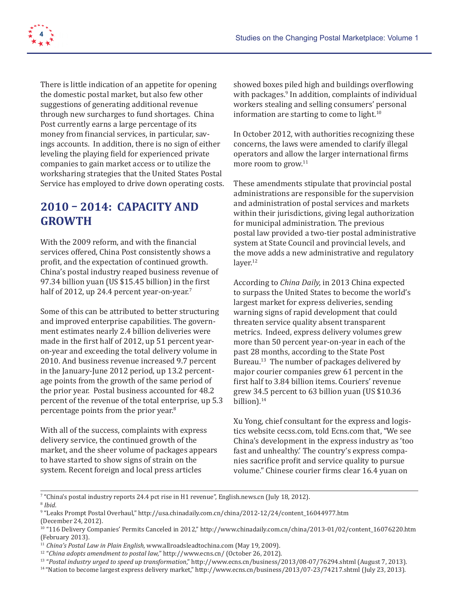

There is little indication of an appetite for opening the domestic postal market, but also few other suggestions of generating additional revenue through new surcharges to fund shortages. China Post currently earns a large percentage of its money from financial services, in particular, savings accounts. In addition, there is no sign of either leveling the playing field for experienced private companies to gain market access or to utilize the worksharing strategies that the United States Postal Service has employed to drive down operating costs.

# **2010 – 2014: CAPACITY AND GROWTH**

With the 2009 reform, and with the financial services offered, China Post consistently shows a profit, and the expectation of continued growth. China's postal industry reaped business revenue of 97.34 billion yuan (US \$15.45 billion) in the first half of 2012, up 24.4 percent year-on-year.<sup>7</sup>

Some of this can be attributed to better structuring and improved enterprise capabilities. The government estimates nearly 2.4 billion deliveries were made in the first half of 2012, up 51 percent yearon-year and exceeding the total delivery volume in 2010. And business revenue increased 9.7 percent in the January-June 2012 period, up 13.2 percentage points from the growth of the same period of the prior year. Postal business accounted for 48.2 percent of the revenue of the total enterprise, up 5.3 percentage points from the prior year.<sup>8</sup>

With all of the success, complaints with express delivery service, the continued growth of the market, and the sheer volume of packages appears to have started to show signs of strain on the system. Recent foreign and local press articles

showed boxes piled high and buildings overflowing with packages.9 In addition, complaints of individual workers stealing and selling consumers' personal information are starting to come to light.<sup>10</sup>

In October 2012, with authorities recognizing these concerns, the laws were amended to clarify illegal operators and allow the larger international firms more room to grow.11

These amendments stipulate that provincial postal administrations are responsible for the supervision and administration of postal services and markets within their jurisdictions, giving legal authorization for municipal administration. The previous postal law provided a two-tier postal administrative system at State Council and provincial levels, and the move adds a new administrative and regulatory laver.<sup>12</sup>

According to *China Daily,* in 2013 China expected to surpass the United States to become the world's largest market for express deliveries, sending warning signs of rapid development that could threaten service quality absent transparent metrics. Indeed, express delivery volumes grew more than 50 percent year-on-year in each of the past 28 months, according to the State Post Bureau.13 The number of packages delivered by major courier companies grew 61 percent in the first half to 3.84 billion items. Couriers' revenue grew 34.5 percent to 63 billion yuan (US \$10.36 billion).<sup>14</sup>

Xu Yong, chief consultant for the express and logistics website cecss.com, told Ecns.com that, "We see China's development in the express industry as 'too fast and unhealthy.' The country's express companies sacrifice profit and service quality to pursue volume." Chinese courier firms clear 16.4 yuan on

<sup>7</sup> "China's postal industry reports 24.4 pct rise in H1 revenue", English.news.cn (July 18, 2012).

<sup>8</sup> *Ibid*.

<sup>9</sup> "Leaks Prompt Postal Overhaul," http://usa.chinadaily.com.cn/china/2012-12/24/content\_16044977.htm (December 24, 2012).

<sup>10 &</sup>quot;116 Delivery Companies' Permits Canceled in 2012," http://www.chinadaily.com.cn/china/2013-01/02/content\_16076220.htm (February 2013).

<sup>11</sup> *China's Postal Law in Plain English,* www.allroadsleadtochina.com (May 19, 2009).

<sup>12 &</sup>quot;*China adopts amendment to postal law,*" http://www.ecns.cn/ (October 26, 2012).

<sup>13 &</sup>quot;*Postal industry urged to speed up transformation*," http://www.ecns.cn/business/2013/08-07/76294.shtml (August 7, 2013).

<sup>14 &</sup>quot;Nation to become largest express delivery market," http://www.ecns.cn/business/2013/07-23/74217.shtml (July 23, 2013).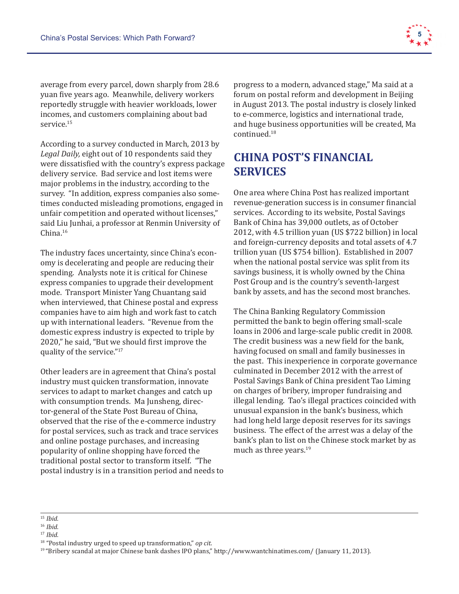

average from every parcel, down sharply from 28.6 yuan five years ago. Meanwhile, delivery workers reportedly struggle with heavier workloads, lower incomes, and customers complaining about bad service.<sup>15</sup>

According to a survey conducted in March, 2013 by *Legal Daily,* eight out of 10 respondents said they were dissatisfied with the country's express package delivery service. Bad service and lost items were major problems in the industry, according to the survey. "In addition, express companies also sometimes conducted misleading promotions, engaged in unfair competition and operated without licenses," said Liu Junhai, a professor at Renmin University of China.16

The industry faces uncertainty, since China's economy is decelerating and people are reducing their spending. Analysts note it is critical for Chinese express companies to upgrade their development mode. Transport Minister Yang Chuantang said when interviewed, that Chinese postal and express companies have to aim high and work fast to catch up with international leaders. "Revenue from the domestic express industry is expected to triple by 2020," he said, "But we should first improve the quality of the service."<sup>17</sup>

Other leaders are in agreement that China's postal industry must quicken transformation, innovate services to adapt to market changes and catch up with consumption trends. Ma Junsheng, director-general of the State Post Bureau of China, observed that the rise of the e-commerce industry for postal services, such as track and trace services and online postage purchases, and increasing popularity of online shopping have forced the traditional postal sector to transform itself. "The postal industry is in a transition period and needs to progress to a modern, advanced stage," Ma said at a forum on postal reform and development in Beijing in August 2013. The postal industry is closely linked to e-commerce, logistics and international trade, and huge business opportunities will be created, Ma continued.18

# **CHINA POST'S FINANCIAL SERVICES**

One area where China Post has realized important revenue-generation success is in consumer financial services. According to its website, Postal Savings Bank of China has 39,000 outlets, as of October 2012, with 4.5 trillion yuan (US \$722 billion) in local and foreign-currency deposits and total assets of 4.7 trillion yuan (US \$754 billion). Established in 2007 when the national postal service was split from its savings business, it is wholly owned by the China Post Group and is the country's seventh-largest bank by assets, and has the second most branches.

The China Banking Regulatory Commission permitted the bank to begin offering small-scale loans in 2006 and large-scale public credit in 2008. The credit business was a new field for the bank, having focused on small and family businesses in the past. This inexperience in corporate governance culminated in December 2012 with the arrest of Postal Savings Bank of China president Tao Liming on charges of bribery, improper fundraising and illegal lending. Tao's illegal practices coincided with unusual expansion in the bank's business, which had long held large deposit reserves for its savings business. The effect of the arrest was a delay of the bank's plan to list on the Chinese stock market by as much as three years.<sup>19</sup>

<sup>15</sup> *Ibid.*

<sup>16</sup> *Ibid.*

<sup>17</sup> *Ibid.*

<sup>18 &</sup>quot;Postal industry urged to speed up transformation," *op cit.*

<sup>19 &</sup>quot;Bribery scandal at major Chinese bank dashes IPO plans," http://www.wantchinatimes.com/ (January 11, 2013).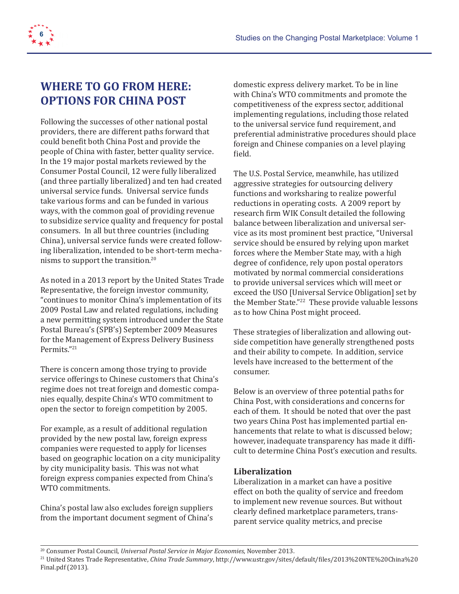

### **WHERE TO GO FROM HERE: OPTIONS FOR CHINA POST**

Following the successes of other national postal providers, there are different paths forward that could benefit both China Post and provide the people of China with faster, better quality service. In the 19 major postal markets reviewed by the Consumer Postal Council, 12 were fully liberalized (and three partially liberalized) and ten had created universal service funds. Universal service funds take various forms and can be funded in various ways, with the common goal of providing revenue to subsidize service quality and frequency for postal consumers. In all but three countries (including China), universal service funds were created following liberalization, intended to be short-term mechanisms to support the transition.<sup>20</sup>

As noted in a 2013 report by the United States Trade Representative, the foreign investor community, "continues to monitor China's implementation of its 2009 Postal Law and related regulations, including a new permitting system introduced under the State Postal Bureau's (SPB's) September 2009 Measures for the Management of Express Delivery Business Permits."<sup>21</sup>

There is concern among those trying to provide service offerings to Chinese customers that China's regime does not treat foreign and domestic companies equally, despite China's WTO commitment to open the sector to foreign competition by 2005.

For example, as a result of additional regulation provided by the new postal law, foreign express companies were requested to apply for licenses based on geographic location on a city municipality by city municipality basis. This was not what foreign express companies expected from China's WTO commitments.

China's postal law also excludes foreign suppliers from the important document segment of China's domestic express delivery market. To be in line with China's WTO commitments and promote the competitiveness of the express sector, additional implementing regulations, including those related to the universal service fund requirement, and preferential administrative procedures should place foreign and Chinese companies on a level playing field.

The U.S. Postal Service, meanwhile, has utilized aggressive strategies for outsourcing delivery functions and worksharing to realize powerful reductions in operating costs. A 2009 report by research firm WIK Consult detailed the following balance between liberalization and universal service as its most prominent best practice, "Universal service should be ensured by relying upon market forces where the Member State may, with a high degree of confidence, rely upon postal operators motivated by normal commercial considerations to provide universal services which will meet or exceed the USO [Universal Service Obligation] set by the Member State."<sup>22</sup> These provide valuable lessons as to how China Post might proceed.

These strategies of liberalization and allowing outside competition have generally strengthened posts and their ability to compete. In addition, service levels have increased to the betterment of the consumer.

Below is an overview of three potential paths for China Post, with considerations and concerns for each of them. It should be noted that over the past two years China Post has implemented partial enhancements that relate to what is discussed below; however, inadequate transparency has made it difficult to determine China Post's execution and results.

#### **Liberalization**

Liberalization in a market can have a positive effect on both the quality of service and freedom to implement new revenue sources. But without clearly defined marketplace parameters, transparent service quality metrics, and precise

<sup>20</sup> Consumer Postal Council, *Universal Postal Service in Major Economies*, November 2013.

<sup>21</sup> United States Trade Representative, *China Trade Summary*, http://www.ustr.gov/sites/default/files/2013%20NTE%20China%20 Final.pdf (2013).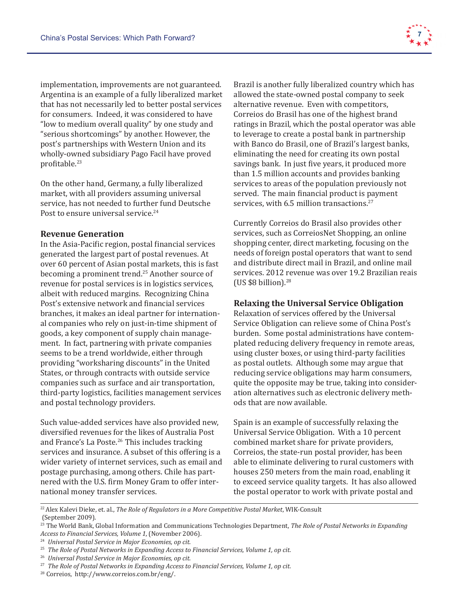implementation, improvements are not guaranteed. Argentina is an example of a fully liberalized market that has not necessarily led to better postal services for consumers. Indeed, it was considered to have "low to medium overall quality" by one study and "serious shortcomings" by another. However, the post's partnerships with Western Union and its wholly-owned subsidiary Pago Facil have proved profitable.<sup>23</sup>

On the other hand, Germany, a fully liberalized market, with all providers assuming universal service, has not needed to further fund Deutsche Post to ensure universal service.<sup>24</sup>

#### **Revenue Generation**

In the Asia-Pacific region, postal financial services generated the largest part of postal revenues. At over 60 percent of Asian postal markets, this is fast becoming a prominent trend.<sup>25</sup> Another source of revenue for postal services is in logistics services, albeit with reduced margins. Recognizing China Post's extensive network and financial services branches, it makes an ideal partner for international companies who rely on just-in-time shipment of goods, a key component of supply chain management. In fact, partnering with private companies seems to be a trend worldwide, either through providing "worksharing discounts" in the United States, or through contracts with outside service companies such as surface and air transportation, third-party logistics, facilities management services and postal technology providers.

Such value-added services have also provided new, diversified revenues for the likes of Australia Post and France's La Poste.<sup>26</sup> This includes tracking services and insurance. A subset of this offering is a wider variety of internet services, such as email and postage purchasing, among others. Chile has partnered with the U.S. firm Money Gram to offer international money transfer services.

Brazil is another fully liberalized country which has allowed the state-owned postal company to seek alternative revenue. Even with competitors, Correios do Brasil has one of the highest brand ratings in Brazil, which the postal operator was able to leverage to create a postal bank in partnership with Banco do Brasil, one of Brazil's largest banks, eliminating the need for creating its own postal savings bank. In just five years, it produced more than 1.5 million accounts and provides banking services to areas of the population previously not served. The main financial product is payment services, with 6.5 million transactions.<sup>27</sup>

Currently Correios do Brasil also provides other services, such as CorreiosNet Shopping, an online shopping center, direct marketing, focusing on the needs of foreign postal operators that want to send and distribute direct mail in Brazil, and online mail services. 2012 revenue was over 19.2 Brazilian reais (US  $$8$  billion).<sup>28</sup>

#### **Relaxing the Universal Service Obligation**

Relaxation of services offered by the Universal Service Obligation can relieve some of China Post's burden. Some postal administrations have contemplated reducing delivery frequency in remote areas, using cluster boxes, or using third-party facilities as postal outlets. Although some may argue that reducing service obligations may harm consumers, quite the opposite may be true, taking into consideration alternatives such as electronic delivery methods that are now available.

Spain is an example of successfully relaxing the Universal Service Obligation. With a 10 percent combined market share for private providers, Correios, the state-run postal provider, has been able to eliminate delivering to rural customers with houses 250 meters from the main road, enabling it to exceed service quality targets. It has also allowed the postal operator to work with private postal and

22 Alex Kalevi Dieke, et. al., *The Role of Regulators in a More Competitive Postal Market*, WIK-Consult (September 2009).



<sup>23</sup> The World Bank, Global Information and Communications Technologies Department, *The Role of Postal Networks in Expanding Access to Financial Services, Volume 1*, (November 2006).

<sup>24</sup> *Universal Postal Service in Major Economies, op cit.*

<sup>25</sup> *The Role of Postal Networks in Expanding Access to Financial Services, Volume 1, op cit.* 

<sup>26</sup> *Universal Postal Service in Major Economies, op cit.*

<sup>27</sup> *The Role of Postal Networks in Expanding Access to Financial Services, Volume 1, op cit.* 

<sup>28</sup> Correios, http://www.correios.com.br/eng/.